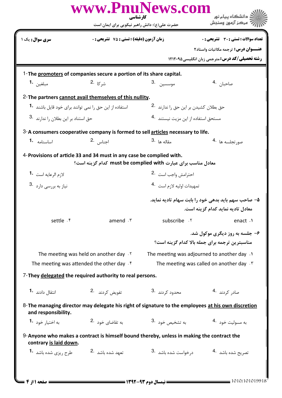|                                                              | حضرت علی(ع): دانش راهبر نیکویی برای ایمان است                                                       |                                                       | " مرڪز آزمون وسنڊش                                                                       |
|--------------------------------------------------------------|-----------------------------------------------------------------------------------------------------|-------------------------------------------------------|------------------------------------------------------------------------------------------|
| <b>سری سوال :</b> یک ۱                                       | <b>زمان آزمون (دقیقه) : تستی : 75 تشریحی : 0</b>                                                    |                                                       | تعداد سوالات : تستى : 30 - تشريحي : 0                                                    |
|                                                              |                                                                                                     |                                                       | عنــوان درس: ترجمه مكاتبات واسناد٢                                                       |
|                                                              |                                                                                                     |                                                       | <b>رشته تحصیلی/کد درس: مترجمی زبان انگلیسی۵ ۱۲۱۲۰۹۵</b>                                  |
|                                                              | 1-The promoters of companies secure a portion of its share capital.                                 |                                                       |                                                                                          |
| مبلغين 1.                                                    | ش <sub>ر کا</sub> .2                                                                                | موسسين 3.                                             | صاحبان <sup>.4</sup>                                                                     |
|                                                              | 2- The partners cannot avail themselves of this nullity.                                            |                                                       |                                                                                          |
| استفاده از این حق را نمی توانند برای خود قایل باشند <b>1</b> |                                                                                                     | حق بطلان كشيدن بر اين حق را ندارند 2.                 |                                                                                          |
| حق استناد بر این بطلان را ندارند <sup>.3</sup>               |                                                                                                     | مستحق استفاده از این مزیت نیستند <sup>.4</sup>        |                                                                                          |
|                                                              | 3-A consumers cooperative company is formed to sell articles necessary to life.                     |                                                       |                                                                                          |
| اساسنامه 1.                                                  | اجناس 2.                                                                                            | مقاله ها <sup>.3</sup>                                | صور تجلسه ها 4.                                                                          |
|                                                              | 4-Provisions of article 33 and 34 must in any case be complied with.                                |                                                       |                                                                                          |
|                                                              | معادل مناسب برای عبارت must be complied with کدام گزینه است؟                                        |                                                       |                                                                                          |
| لازم الرعايه است <sup>-1</sup>                               | احترامش واجب است <sup>.2</sup>                                                                      |                                                       |                                                                                          |
| نياز به بررسي دارد <sup>.3</sup>                             |                                                                                                     | تمهيدات اوليه لازم است 4.                             |                                                                                          |
|                                                              |                                                                                                     |                                                       | ۵– صاحب سهم باید بدهی خود را بابت سهام تادیه نماید.<br>معادل تادیه نماید کدام گزینه است. |
| settle f                                                     | amend $\cdot$ $\cdot$                                                                               | subscribe . ٢                                         | enact .1                                                                                 |
|                                                              |                                                                                                     |                                                       | ۶- جلسه به روز دیگری موکول شد.<br>مناسبترین ترجمه برای جمله بالا کدام گزینه است؟         |
|                                                              | The meeting was held on another day $.5$                                                            | The meeting was adjourned to another day .1           |                                                                                          |
|                                                              | The meeting was attended the other day $\mathfrak k$                                                | The meeting was called on another day $\cdot$ $\cdot$ |                                                                                          |
|                                                              | 7-They delegated the required authority to real persons.                                            |                                                       |                                                                                          |
| انتقال دادند <b>1۰</b>                                       | تفويض كردند 2.                                                                                      | محدود کردند .3                                        | صادر کردند 4.                                                                            |
| and responsibility.                                          | 8- The managing director may delegate his right of signature to the employees at his own discretion |                                                       |                                                                                          |
| به اختیا <sub>د</sub> خود <b>1</b> ۰                         | به تقاضای خود 2.                                                                                    | به تشخیص خود .3                                       | به مسوليت خود 4.                                                                         |
| contrary is laid down.                                       | 9-Anyone who makes a contract is himself bound thereby, unless in making the contract the           |                                                       |                                                                                          |
| طرح <sub>د</sub> یزی شده باشد <b>1</b> ۰                     | تعهد شده باشد 2.                                                                                    | د <sub>ا</sub> خواست شده باشد <sup>.3</sup>           | تصريح شده باشد 4.                                                                        |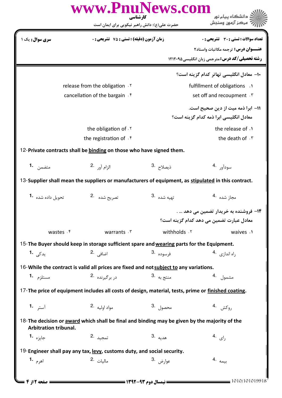|                                   | کارشناسی<br>حضرت علی(ع): دانش راهبر نیکویی برای ایمان است                                           |                       | دانشگاه پیام نور<br>مركز آزمون وسنجش                  |  |
|-----------------------------------|-----------------------------------------------------------------------------------------------------|-----------------------|-------------------------------------------------------|--|
|                                   |                                                                                                     |                       |                                                       |  |
| <b>سری سوال:</b> یک ۱             | زمان آزمون (دقيقه) : تستى : 75 ٪ تشريحي : 0                                                         |                       | <b>تعداد سوالات : تستی : 30 ٪ تشریحی : 0</b>          |  |
|                                   |                                                                                                     |                       | <b>عنـــوان درس:</b> ترجمه مکاتبات واسناد۲            |  |
|                                   |                                                                                                     |                       | <b>رشته تحصیلی/کد درس: مترجمی زبان انگلیسی1۲۱۲۰۹۵</b> |  |
|                                   |                                                                                                     |                       | ۱۰– معادل انگلیسی تهاتر کدام گزینه است؟               |  |
|                                   | release from the obligation . Y                                                                     |                       | fulfillment of obligations .                          |  |
| cancellation of the bargain . $f$ |                                                                                                     |                       | set off and recoupment . \v                           |  |
|                                   |                                                                                                     |                       | 11– ابرا ذمه میت از دین صحیح است.                     |  |
|                                   |                                                                                                     |                       | معادل انگلیسی ابرا ذمه کدام گزینه است؟                |  |
|                                   | the obligation of .Y                                                                                |                       | the release of .                                      |  |
|                                   | the registration of . f                                                                             |                       | the death of F                                        |  |
|                                   | 12-Private contracts shall be binding on those who have signed them.                                |                       |                                                       |  |
| متضمن <b>1.</b>                   | الزام آور 2.                                                                                        | ذيصلاح <sup>.3</sup>  | سودآور .4                                             |  |
|                                   | 13-Supplier shall mean the suppliers or manufacturers of equipment, as stipulated in this contract. |                       |                                                       |  |
| تحويل داده شده 1.                 | تصريح شده 2.                                                                                        | تهيه شده   .3         | مجاز شده 4.                                           |  |
|                                   |                                                                                                     |                       | ۱۲– فروشنده به خریدار تضمین می دهد … .                |  |
|                                   |                                                                                                     |                       | معادل عبارت تضمين مي دهد كدام گزينه است؟              |  |
| wastes . f                        | warrants . ٣                                                                                        | withholds . ٢         | waives .1                                             |  |
|                                   | 15-The Buyer should keep in storage sufficient spare and wearing parts for the Equipment.           |                       |                                                       |  |
| يدک <sub>ى</sub> 1 <b>.</b>       | اضافي . <sup>2</sup>                                                                                | فرسوده .3             | راه اندازی 4.                                         |  |
|                                   | 16-While the contract is valid all prices are fixed and not subject to any variations.              |                       |                                                       |  |
| مستلزم <b>1.</b>                  | در برگیرنده 2.                                                                                      | منتج به <sup>.3</sup> | مشمول .4                                              |  |
|                                   | 17-The price of equipment includes all costs of design, material, tests, prime or finished coating. |                       |                                                       |  |
| آستر <b>1.</b>                    | مواد اوليه 2.                                                                                       | محصول .3              | روكش .4                                               |  |
| Arbitration tribunal.             | 18-The decision or award which shall be final and binding may be given by the majority of the       |                       |                                                       |  |
| جايزه <b>1.</b>                   | تمجيد .2                                                                                            | هديه .3               | $4.$ رای                                              |  |
|                                   | 19-Engineer shall pay any tax, levy, customs duty, and social security.                             |                       |                                                       |  |
|                                   | ماليات 2.                                                                                           | عوارض <sup>.3</sup>   | بيمه .4                                               |  |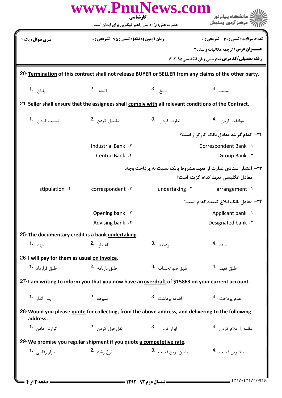| www.PnuNews.com<br>ڪ دانشڪاه پيام نو <b>ر</b><br>کار شناسی |                                                                                                      |                               |                                                                                                       |  |  |
|------------------------------------------------------------|------------------------------------------------------------------------------------------------------|-------------------------------|-------------------------------------------------------------------------------------------------------|--|--|
|                                                            | حضرت علی(ع): دانش راهبر نیکویی برای ایمان است                                                        |                               | ج عرڪز آزمون وسنڊش                                                                                    |  |  |
| سری سوال: یک ۱                                             | <b>زمان آزمون (دقیقه) : تستی : 75 تشریحی : 0</b>                                                     |                               | تعداد سوالات : تستي : 30 ٪ تشريحي : 0                                                                 |  |  |
|                                                            |                                                                                                      |                               | <b>عنـــوان درس:</b> ترجمه مكاتبات واسناد٢                                                            |  |  |
|                                                            |                                                                                                      |                               | <b>رشته تحصیلی/کد درس:</b> مترجمی زبان انگلیسی4۲۱۲۰۹۵                                                 |  |  |
|                                                            |                                                                                                      |                               | 20-Termination of this contract shall not release BUYER or SELLER from any claims of the other party. |  |  |
| يايا <sub>ن</sub> <b>1.</b>                                | اتمام 2.                                                                                             | فسخ .3                        | تمدید 4.                                                                                              |  |  |
|                                                            | 21-Seller shall ensure that the assignees shall comply with all relevant conditions of the Contract. |                               |                                                                                                       |  |  |
| تبعيت كردن 1.                                              | تكميل كردن 2.                                                                                        | تعارف كردن . 3                | موافقت كردن 4.                                                                                        |  |  |
|                                                            | ٢٢- كدام گزينه معادل بانک کار گزار است؟                                                              |                               |                                                                                                       |  |  |
|                                                            | Industrial Bank . ٢                                                                                  |                               | Correspondent Bank .                                                                                  |  |  |
|                                                            | Central Bank . f                                                                                     |                               | Group Bank . ٣                                                                                        |  |  |
|                                                            |                                                                                                      |                               | ۲۳- اعتبار اسنادی عبارت از تعهد مشروط بانک نسبت به پرداخت وجه.<br>معادل انگلیسی تعهد کدام گزینه است؟  |  |  |
| stipulation . f                                            | correspondent . ٣                                                                                    | undertaking . Y               | arrangement .1                                                                                        |  |  |
|                                                            | ۲۴− معادل بانک ابلاغ کننده کدام است؟                                                                 |                               |                                                                                                       |  |  |
|                                                            | Opening bank .Y                                                                                      |                               | Applicant bank .1                                                                                     |  |  |
|                                                            | Advising bank f                                                                                      |                               | Designated bank . ٣                                                                                   |  |  |
| 25-The documentary credit is a bank undertaking.           |                                                                                                      |                               |                                                                                                       |  |  |
| تعهد <b>.1</b>                                             | اعتبا <sub>ر</sub> .2                                                                                | وديعه .3                      | سند .4                                                                                                |  |  |
| 26-I will pay for them as usual on invoice.                |                                                                                                      |                               |                                                                                                       |  |  |
| طبق قرارداد <b>-1</b>                                      | طبق بارنامه 2.                                                                                       | طبق صور تحساب .3              | طبق تعهد 4.                                                                                           |  |  |
|                                                            | 27-I am writing to inform you that you now have an overdraft of \$15863 on your current account.     |                               |                                                                                                       |  |  |
| يس اندا <sub>ز</sub> <b>1.</b>                             | 2. سير ده                                                                                            | 3. اضافه برداشت               | عدم پرداخت .4                                                                                         |  |  |
| address.                                                   | 28-Would you please guote for collecting, from the above address, and delivering to the following    |                               |                                                                                                       |  |  |
| گزارش داد <sub>ن</sub> <b>1</b> ۰                          | نقل قول کردن . 2                                                                                     | 3. ابراز کردن .               | مظنّه را اعلام كردن 4.                                                                                |  |  |
|                                                            | 29-We promise you regular shipment if you quote a competetive rate.                                  |                               |                                                                                                       |  |  |
| بازار رقابتی <sup>1</sup> ۰                                | نرخ , شد <sup>.2</sup>                                                                               | پايين ترين قيمت <sup>.3</sup> | بالاترين قيمت 4.                                                                                      |  |  |
|                                                            |                                                                                                      |                               |                                                                                                       |  |  |